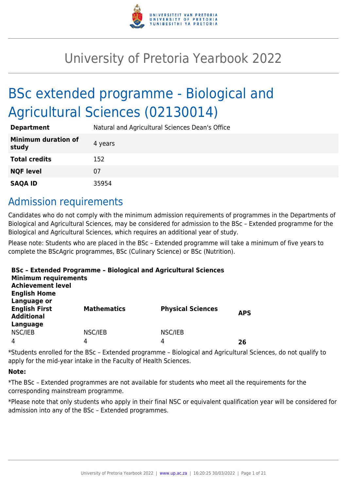

# University of Pretoria Yearbook 2022

# BSc extended programme - Biological and Agricultural Sciences (02130014)

| <b>Department</b>                   | Natural and Agricultural Sciences Dean's Office |
|-------------------------------------|-------------------------------------------------|
| <b>Minimum duration of</b><br>study | 4 years                                         |
| <b>Total credits</b>                | 152                                             |
| <b>NQF level</b>                    | 07                                              |
| <b>SAQA ID</b>                      | 35954                                           |

### Admission requirements

Candidates who do not comply with the minimum admission requirements of programmes in the Departments of Biological and Agricultural Sciences, may be considered for admission to the BSc – Extended programme for the Biological and Agricultural Sciences, which requires an additional year of study.

Please note: Students who are placed in the BSc – Extended programme will take a minimum of five years to complete the BScAgric programmes, BSc (Culinary Science) or BSc (Nutrition).

| <b>Minimum requirements</b><br><b>Achievement level</b><br><b>English Home</b> | <b>BSc - Extended Programme - Biological and Agricultural Sciences</b> |                          |            |
|--------------------------------------------------------------------------------|------------------------------------------------------------------------|--------------------------|------------|
| Language or<br><b>English First</b><br><b>Additional</b><br>Language           | <b>Mathematics</b>                                                     | <b>Physical Sciences</b> | <b>APS</b> |
| NSC/IEB                                                                        | NSC/IEB                                                                | NSC/IEB                  |            |
| 4                                                                              | 4                                                                      | 4                        | 26         |

\*Students enrolled for the BSc – Extended programme – Biological and Agricultural Sciences, do not qualify to apply for the mid-year intake in the Faculty of Health Sciences.

#### **Note:**

\*The BSc – Extended programmes are not available for students who meet all the requirements for the corresponding mainstream programme.

\*Please note that only students who apply in their final NSC or equivalent qualification year will be considered for admission into any of the BSc – Extended programmes.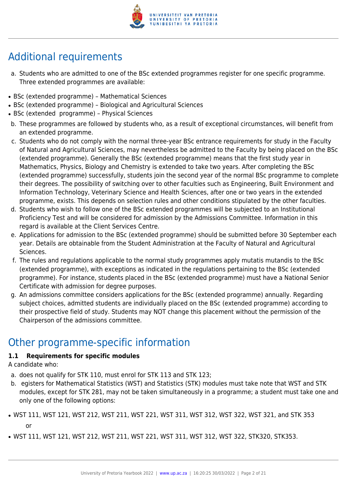

## Additional requirements

- a. Students who are admitted to one of the BSc extended programmes register for one specific programme. Three extended programmes are available:
- BSc (extended programme) Mathematical Sciences
- BSc (extended programme) Biological and Agricultural Sciences
- BSc (extended programme) Physical Sciences
- b. These programmes are followed by students who, as a result of exceptional circumstances, will benefit from an extended programme.
- c. Students who do not comply with the normal three-year BSc entrance requirements for study in the Faculty of Natural and Agricultural Sciences, may nevertheless be admitted to the Faculty by being placed on the BSc (extended programme). Generally the BSc (extended programme) means that the first study year in Mathematics, Physics, Biology and Chemistry is extended to take two years. After completing the BSc (extended programme) successfully, students join the second year of the normal BSc programme to complete their degrees. The possibility of switching over to other faculties such as Engineering, Built Environment and Information Technology, Veterinary Science and Health Sciences, after one or two years in the extended programme, exists. This depends on selection rules and other conditions stipulated by the other faculties.
- d. Students who wish to follow one of the BSc extended programmes will be subjected to an Institutional Proficiency Test and will be considered for admission by the Admissions Committee. Information in this regard is available at the Client Services Centre.
- e. Applications for admission to the BSc (extended programme) should be submitted before 30 September each year. Details are obtainable from the Student Administration at the Faculty of Natural and Agricultural Sciences.
- f. The rules and regulations applicable to the normal study programmes apply mutatis mutandis to the BSc (extended programme), with exceptions as indicated in the regulations pertaining to the BSc (extended programme). For instance, students placed in the BSc (extended programme) must have a National Senior Certificate with admission for degree purposes.
- g. An admissions committee considers applications for the BSc (extended programme) annually. Regarding subject choices, admitted students are individually placed on the BSc (extended programme) according to their prospective field of study. Students may NOT change this placement without the permission of the Chairperson of the admissions committee.

### Other programme-specific information

#### **1.1 Requirements for specific modules**

A candidate who:

- a. does not qualify for STK 110, must enrol for STK 113 and STK 123;
- b. egisters for Mathematical Statistics (WST) and Statistics (STK) modules must take note that WST and STK modules, except for STK 281, may not be taken simultaneously in a programme; a student must take one and only one of the following options:
- WST 111, WST 121, WST 212, WST 211, WST 221, WST 311, WST 312, WST 322, WST 321, and STK 353 or
- WST 111, WST 121, WST 212, WST 211, WST 221, WST 311, WST 312, WST 322, STK320, STK353.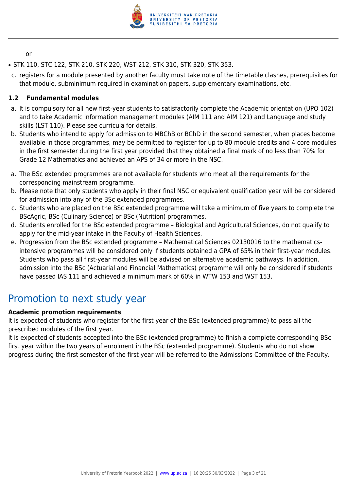

or

- STK 110, STC 122, STK 210, STK 220, WST 212, STK 310, STK 320, STK 353.
- c. registers for a module presented by another faculty must take note of the timetable clashes, prerequisites for that module, subminimum required in examination papers, supplementary examinations, etc.

#### **1.2 Fundamental modules**

- a. It is compulsory for all new first-year students to satisfactorily complete the Academic orientation (UPO 102) and to take Academic information management modules (AIM 111 and AIM 121) and Language and study skills (LST 110). Please see curricula for details.
- b. Students who intend to apply for admission to MBChB or BChD in the second semester, when places become available in those programmes, may be permitted to register for up to 80 module credits and 4 core modules in the first semester during the first year provided that they obtained a final mark of no less than 70% for Grade 12 Mathematics and achieved an APS of 34 or more in the NSC.
- a. The BSc extended programmes are not available for students who meet all the requirements for the corresponding mainstream programme.
- b. Please note that only students who apply in their final NSC or equivalent qualification year will be considered for admission into any of the BSc extended programmes.
- c. Students who are placed on the BSc extended programme will take a minimum of five years to complete the BScAgric, BSc (Culinary Science) or BSc (Nutrition) programmes.
- d. Students enrolled for the BSc extended programme Biological and Agricultural Sciences, do not qualify to apply for the mid-year intake in the Faculty of Health Sciences.
- e. Progression from the BSc extended programme Mathematical Sciences 02130016 to the mathematicsintensive programmes will be considered only if students obtained a GPA of 65% in their first-year modules. Students who pass all first-year modules will be advised on alternative academic pathways. In addition, admission into the BSc (Actuarial and Financial Mathematics) programme will only be considered if students have passed IAS 111 and achieved a minimum mark of 60% in WTW 153 and WST 153.

### Promotion to next study year

#### **Academic promotion requirements**

It is expected of students who register for the first year of the BSc (extended programme) to pass all the prescribed modules of the first year.

It is expected of students accepted into the BSc (extended programme) to finish a complete corresponding BSc first year within the two years of enrolment in the BSc (extended programme). Students who do not show progress during the first semester of the first year will be referred to the Admissions Committee of the Faculty.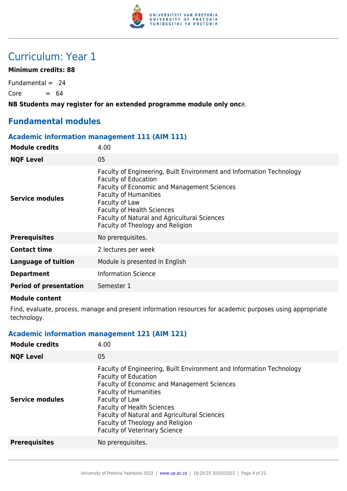

### Curriculum: Year 1

#### **Minimum credits: 88**

Fundamental  $= 24$  $Core = 64$ 

**NB Students may register for an extended programme module only onc**e.

#### **Fundamental modules**

#### **Academic information management 111 (AIM 111)**

| <b>Module credits</b>         | 4.00                                                                                                                                                                                                                                                                                                                                        |
|-------------------------------|---------------------------------------------------------------------------------------------------------------------------------------------------------------------------------------------------------------------------------------------------------------------------------------------------------------------------------------------|
| <b>NQF Level</b>              | 05                                                                                                                                                                                                                                                                                                                                          |
| Service modules               | Faculty of Engineering, Built Environment and Information Technology<br><b>Faculty of Education</b><br><b>Faculty of Economic and Management Sciences</b><br><b>Faculty of Humanities</b><br>Faculty of Law<br><b>Faculty of Health Sciences</b><br><b>Faculty of Natural and Agricultural Sciences</b><br>Faculty of Theology and Religion |
| <b>Prerequisites</b>          | No prerequisites.                                                                                                                                                                                                                                                                                                                           |
| <b>Contact time</b>           | 2 lectures per week                                                                                                                                                                                                                                                                                                                         |
| Language of tuition           | Module is presented in English                                                                                                                                                                                                                                                                                                              |
| <b>Department</b>             | <b>Information Science</b>                                                                                                                                                                                                                                                                                                                  |
| <b>Period of presentation</b> | Semester 1                                                                                                                                                                                                                                                                                                                                  |
|                               |                                                                                                                                                                                                                                                                                                                                             |

#### **Module content**

Find, evaluate, process, manage and present information resources for academic purposes using appropriate technology.

#### **Academic information management 121 (AIM 121)**

| <b>Module credits</b>  | 4.00                                                                                                                                                                                                                                                                                                                                                                  |
|------------------------|-----------------------------------------------------------------------------------------------------------------------------------------------------------------------------------------------------------------------------------------------------------------------------------------------------------------------------------------------------------------------|
| <b>NQF Level</b>       | 05                                                                                                                                                                                                                                                                                                                                                                    |
| <b>Service modules</b> | Faculty of Engineering, Built Environment and Information Technology<br><b>Faculty of Education</b><br>Faculty of Economic and Management Sciences<br><b>Faculty of Humanities</b><br>Faculty of Law<br><b>Faculty of Health Sciences</b><br>Faculty of Natural and Agricultural Sciences<br>Faculty of Theology and Religion<br><b>Faculty of Veterinary Science</b> |
| <b>Prerequisites</b>   | No prerequisites.                                                                                                                                                                                                                                                                                                                                                     |
|                        |                                                                                                                                                                                                                                                                                                                                                                       |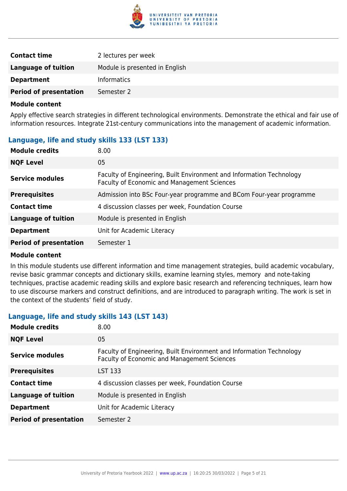

| <b>Contact time</b>           | 2 lectures per week            |
|-------------------------------|--------------------------------|
| Language of tuition           | Module is presented in English |
| <b>Department</b>             | <b>Informatics</b>             |
| <b>Period of presentation</b> | Semester 2                     |

Apply effective search strategies in different technological environments. Demonstrate the ethical and fair use of information resources. Integrate 21st-century communications into the management of academic information.

#### **Language, life and study skills 133 (LST 133)**

| <b>NQF Level</b><br>05<br>Faculty of Engineering, Built Environment and Information Technology<br>Service modules<br>Faculty of Economic and Management Sciences | <b>Module credits</b> | 8.00                                                                |
|------------------------------------------------------------------------------------------------------------------------------------------------------------------|-----------------------|---------------------------------------------------------------------|
|                                                                                                                                                                  |                       |                                                                     |
|                                                                                                                                                                  |                       |                                                                     |
|                                                                                                                                                                  | <b>Prerequisites</b>  | Admission into BSc Four-year programme and BCom Four-year programme |
| 4 discussion classes per week, Foundation Course<br><b>Contact time</b>                                                                                          |                       |                                                                     |
| <b>Language of tuition</b><br>Module is presented in English                                                                                                     |                       |                                                                     |
| Unit for Academic Literacy<br><b>Department</b>                                                                                                                  |                       |                                                                     |
| <b>Period of presentation</b><br>Semester 1                                                                                                                      |                       |                                                                     |

#### **Module content**

In this module students use different information and time management strategies, build academic vocabulary, revise basic grammar concepts and dictionary skills, examine learning styles, memory and note-taking techniques, practise academic reading skills and explore basic research and referencing techniques, learn how to use discourse markers and construct definitions, and are introduced to paragraph writing. The work is set in the context of the students' field of study.

#### **Language, life and study skills 143 (LST 143)**

| <b>Module credits</b>         | 8.00                                                                                                                |
|-------------------------------|---------------------------------------------------------------------------------------------------------------------|
| <b>NQF Level</b>              | 05                                                                                                                  |
| Service modules               | Faculty of Engineering, Built Environment and Information Technology<br>Faculty of Economic and Management Sciences |
| <b>Prerequisites</b>          | LST 133                                                                                                             |
| <b>Contact time</b>           | 4 discussion classes per week, Foundation Course                                                                    |
| <b>Language of tuition</b>    | Module is presented in English                                                                                      |
| <b>Department</b>             | Unit for Academic Literacy                                                                                          |
| <b>Period of presentation</b> | Semester 2                                                                                                          |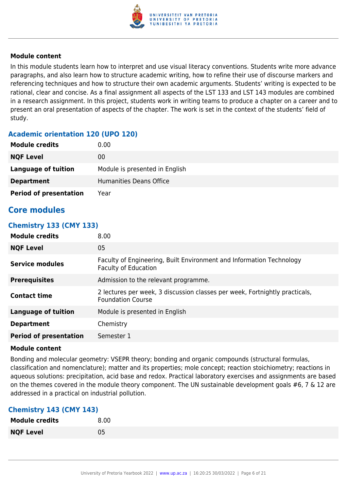

In this module students learn how to interpret and use visual literacy conventions. Students write more advance paragraphs, and also learn how to structure academic writing, how to refine their use of discourse markers and referencing techniques and how to structure their own academic arguments. Students' writing is expected to be rational, clear and concise. As a final assignment all aspects of the LST 133 and LST 143 modules are combined in a research assignment. In this project, students work in writing teams to produce a chapter on a career and to present an oral presentation of aspects of the chapter. The work is set in the context of the students' field of study.

#### **Academic orientation 120 (UPO 120)**

| <b>Module credits</b>         | 0.00                           |
|-------------------------------|--------------------------------|
| <b>NQF Level</b>              | 00                             |
| <b>Language of tuition</b>    | Module is presented in English |
| <b>Department</b>             | Humanities Deans Office        |
| <b>Period of presentation</b> | Year                           |

#### **Core modules**

#### **Chemistry 133 (CMY 133)**

| <b>Module credits</b>         | 8.00                                                                                                    |
|-------------------------------|---------------------------------------------------------------------------------------------------------|
| <b>NQF Level</b>              | 05                                                                                                      |
| Service modules               | Faculty of Engineering, Built Environment and Information Technology<br><b>Faculty of Education</b>     |
| <b>Prerequisites</b>          | Admission to the relevant programme.                                                                    |
| <b>Contact time</b>           | 2 lectures per week, 3 discussion classes per week, Fortnightly practicals,<br><b>Foundation Course</b> |
| <b>Language of tuition</b>    | Module is presented in English                                                                          |
| <b>Department</b>             | Chemistry                                                                                               |
| <b>Period of presentation</b> | Semester 1                                                                                              |

#### **Module content**

Bonding and molecular geometry: VSEPR theory; bonding and organic compounds (structural formulas, classification and nomenclature); matter and its properties; mole concept; reaction stoichiometry; reactions in aqueous solutions: precipitation, acid base and redox. Practical laboratory exercises and assignments are based on the themes covered in the module theory component. The UN sustainable development goals #6, 7 & 12 are addressed in a practical on industrial pollution.

#### **Chemistry 143 (CMY 143)**

| <b>Module credits</b> | 8.00 |
|-----------------------|------|
| <b>NQF Level</b>      | 05   |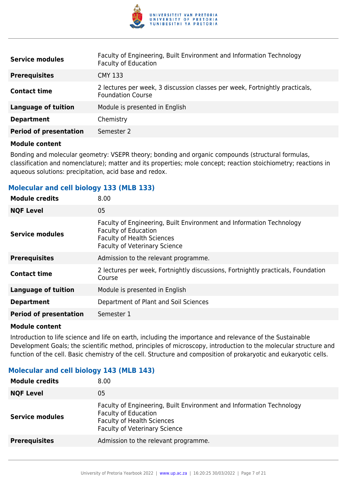

| <b>Service modules</b>        | Faculty of Engineering, Built Environment and Information Technology<br><b>Faculty of Education</b>     |
|-------------------------------|---------------------------------------------------------------------------------------------------------|
| <b>Prerequisites</b>          | <b>CMY 133</b>                                                                                          |
| <b>Contact time</b>           | 2 lectures per week, 3 discussion classes per week, Fortnightly practicals,<br><b>Foundation Course</b> |
| <b>Language of tuition</b>    | Module is presented in English                                                                          |
| <b>Department</b>             | Chemistry                                                                                               |
| <b>Period of presentation</b> | Semester 2                                                                                              |

Bonding and molecular geometry: VSEPR theory; bonding and organic compounds (structural formulas, classification and nomenclature); matter and its properties; mole concept; reaction stoichiometry; reactions in aqueous solutions: precipitation, acid base and redox.

#### **Molecular and cell biology 133 (MLB 133)**

| <b>Module credits</b>         | 8.00                                                                                                                                                                             |
|-------------------------------|----------------------------------------------------------------------------------------------------------------------------------------------------------------------------------|
| <b>NQF Level</b>              | 05                                                                                                                                                                               |
| <b>Service modules</b>        | Faculty of Engineering, Built Environment and Information Technology<br><b>Faculty of Education</b><br><b>Faculty of Health Sciences</b><br><b>Faculty of Veterinary Science</b> |
| <b>Prerequisites</b>          | Admission to the relevant programme.                                                                                                                                             |
| <b>Contact time</b>           | 2 lectures per week, Fortnightly discussions, Fortnightly practicals, Foundation<br>Course                                                                                       |
| <b>Language of tuition</b>    | Module is presented in English                                                                                                                                                   |
| <b>Department</b>             | Department of Plant and Soil Sciences                                                                                                                                            |
| <b>Period of presentation</b> | Semester 1                                                                                                                                                                       |

#### **Module content**

Introduction to life science and life on earth, including the importance and relevance of the Sustainable Development Goals; the scientific method, principles of microscopy, introduction to the molecular structure and function of the cell. Basic chemistry of the cell. Structure and composition of prokaryotic and eukaryotic cells.

#### **Molecular and cell biology 143 (MLB 143)**

| <b>Module credits</b>  | 8.00                                                                                                                                                                             |
|------------------------|----------------------------------------------------------------------------------------------------------------------------------------------------------------------------------|
| <b>NQF Level</b>       | 05                                                                                                                                                                               |
| <b>Service modules</b> | Faculty of Engineering, Built Environment and Information Technology<br><b>Faculty of Education</b><br><b>Faculty of Health Sciences</b><br><b>Faculty of Veterinary Science</b> |
| <b>Prerequisites</b>   | Admission to the relevant programme.                                                                                                                                             |
|                        |                                                                                                                                                                                  |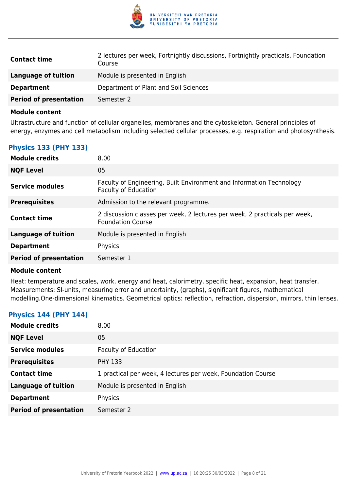

| <b>Contact time</b>           | 2 lectures per week, Fortnightly discussions, Fortnightly practicals, Foundation<br>Course |
|-------------------------------|--------------------------------------------------------------------------------------------|
| Language of tuition           | Module is presented in English                                                             |
| <b>Department</b>             | Department of Plant and Soil Sciences                                                      |
| <b>Period of presentation</b> | Semester 2                                                                                 |

Ultrastructure and function of cellular organelles, membranes and the cytoskeleton. General principles of energy, enzymes and cell metabolism including selected cellular processes, e.g. respiration and photosynthesis.

#### **Physics 133 (PHY 133)**

| <b>Module credits</b>         | 8.00                                                                                                   |
|-------------------------------|--------------------------------------------------------------------------------------------------------|
| <b>NQF Level</b>              | 05                                                                                                     |
| Service modules               | Faculty of Engineering, Built Environment and Information Technology<br><b>Faculty of Education</b>    |
| <b>Prerequisites</b>          | Admission to the relevant programme.                                                                   |
| <b>Contact time</b>           | 2 discussion classes per week, 2 lectures per week, 2 practicals per week,<br><b>Foundation Course</b> |
| <b>Language of tuition</b>    | Module is presented in English                                                                         |
| <b>Department</b>             | Physics                                                                                                |
| <b>Period of presentation</b> | Semester 1                                                                                             |

#### **Module content**

Heat: temperature and scales, work, energy and heat, calorimetry, specific heat, expansion, heat transfer. Measurements: SI-units, measuring error and uncertainty, (graphs), significant figures, mathematical modelling.One-dimensional kinematics. Geometrical optics: reflection, refraction, dispersion, mirrors, thin lenses.

#### **Physics 144 (PHY 144)**

| <b>Module credits</b>         | 8.00                                                         |
|-------------------------------|--------------------------------------------------------------|
| <b>NQF Level</b>              | 05                                                           |
| <b>Service modules</b>        | <b>Faculty of Education</b>                                  |
| <b>Prerequisites</b>          | <b>PHY 133</b>                                               |
| <b>Contact time</b>           | 1 practical per week, 4 lectures per week, Foundation Course |
| <b>Language of tuition</b>    | Module is presented in English                               |
| <b>Department</b>             | Physics                                                      |
| <b>Period of presentation</b> | Semester 2                                                   |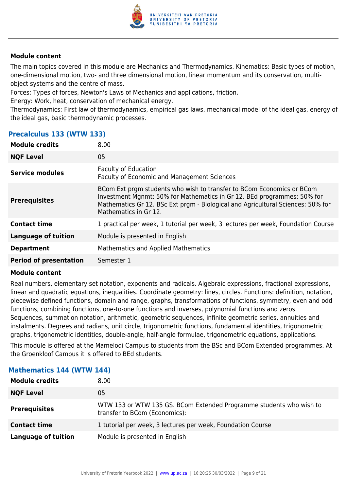

The main topics covered in this module are Mechanics and Thermodynamics. Kinematics: Basic types of motion, one-dimensional motion, two- and three dimensional motion, linear momentum and its conservation, multiobject systems and the centre of mass.

Forces: Types of forces, Newton's Laws of Mechanics and applications, friction.

Energy: Work, heat, conservation of mechanical energy.

Thermodynamics: First law of thermodynamics, empirical gas laws, mechanical model of the ideal gas, energy of the ideal gas, basic thermodynamic processes.

#### **Precalculus 133 (WTW 133)**

| <b>Module credits</b>         | 8.00                                                                                                                                                                                                                                                         |
|-------------------------------|--------------------------------------------------------------------------------------------------------------------------------------------------------------------------------------------------------------------------------------------------------------|
| <b>NQF Level</b>              | 05                                                                                                                                                                                                                                                           |
| Service modules               | <b>Faculty of Education</b><br><b>Faculty of Economic and Management Sciences</b>                                                                                                                                                                            |
| <b>Prerequisites</b>          | BCom Ext prgm students who wish to transfer to BCom Economics or BCom<br>Investment Mgnmt: 50% for Mathematics in Gr 12. BEd programmes: 50% for<br>Mathematics Gr 12. BSc Ext prgm - Biological and Agricultural Sciences: 50% for<br>Mathematics in Gr 12. |
| <b>Contact time</b>           | 1 practical per week, 1 tutorial per week, 3 lectures per week, Foundation Course                                                                                                                                                                            |
| <b>Language of tuition</b>    | Module is presented in English                                                                                                                                                                                                                               |
| <b>Department</b>             | <b>Mathematics and Applied Mathematics</b>                                                                                                                                                                                                                   |
| <b>Period of presentation</b> | Semester 1                                                                                                                                                                                                                                                   |

#### **Module content**

Real numbers, elementary set notation, exponents and radicals. Algebraic expressions, fractional expressions, linear and quadratic equations, inequalities. Coordinate geometry: lines, circles. Functions: definition, notation, piecewise defined functions, domain and range, graphs, transformations of functions, symmetry, even and odd functions, combining functions, one-to-one functions and inverses, polynomial functions and zeros. Sequences, summation notation, arithmetic, geometric sequences, infinite geometric series, annuities and instalments. Degrees and radians, unit circle, trigonometric functions, fundamental identities, trigonometric graphs, trigonometric identities, double-angle, half-angle formulae, trigonometric equations, applications.

This module is offered at the Mamelodi Campus to students from the BSc and BCom Extended programmes. At the Groenkloof Campus it is offered to BEd students.

| 8.00 <sub>1</sub>                                                                                    |
|------------------------------------------------------------------------------------------------------|
| 05                                                                                                   |
| WTW 133 or WTW 135 GS. BCom Extended Programme students who wish to<br>transfer to BCom (Economics): |
| 1 tutorial per week, 3 lectures per week, Foundation Course                                          |
| Module is presented in English                                                                       |
|                                                                                                      |

#### **Mathematics 144 (WTW 144)**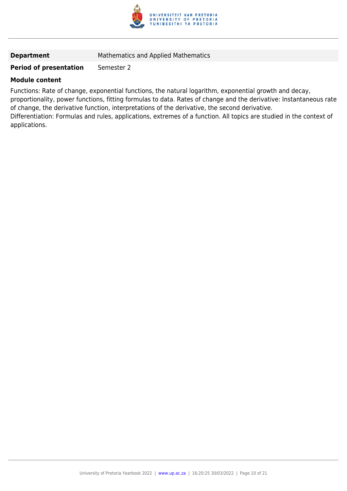

#### **Department** Mathematics and Applied Mathematics

#### **Period of presentation** Semester 2

#### **Module content**

Functions: Rate of change, exponential functions, the natural logarithm, exponential growth and decay, proportionality, power functions, fitting formulas to data. Rates of change and the derivative: Instantaneous rate of change, the derivative function, interpretations of the derivative, the second derivative. Differentiation: Formulas and rules, applications, extremes of a function. All topics are studied in the context of applications.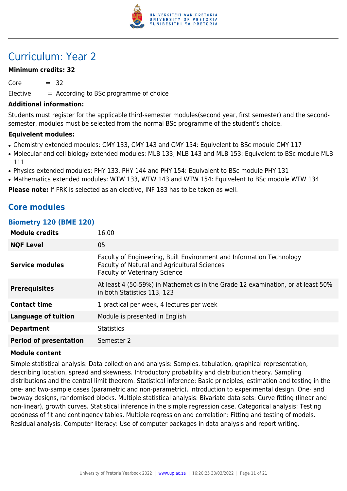

### Curriculum: Year 2

#### **Minimum credits: 32**

 $Core = 32$ 

 $E$ lective  $=$  According to BSc programme of choice

#### **Additional information:**

Students must register for the applicable third-semester modules(second year, first semester) and the secondsemester, modules must be selected from the normal BSc programme of the student's choice.

#### **Equivelent modules:**

- Chemistry extended modules: CMY 133, CMY 143 and CMY 154: Equivelent to BSc module CMY 117
- Molecular and cell biology extended modules: MLB 133, MLB 143 and MLB 153: Equivelent to BSc module MLB 111
- Physics extended modules: PHY 133, PHY 144 and PHY 154: Equivalent to BSc module PHY 131
- Mathematics extended modules: WTW 133, WTW 143 and WTW 154: Equivelent to BSc module WTW 134

**Please note:** If FRK is selected as an elective, INF 183 has to be taken as well.

### **Core modules**

#### **Biometry 120 (BME 120)**

| <b>Module credits</b>         | 16.00                                                                                                                                                               |
|-------------------------------|---------------------------------------------------------------------------------------------------------------------------------------------------------------------|
| <b>NQF Level</b>              | 05                                                                                                                                                                  |
| Service modules               | Faculty of Engineering, Built Environment and Information Technology<br><b>Faculty of Natural and Agricultural Sciences</b><br><b>Faculty of Veterinary Science</b> |
| <b>Prerequisites</b>          | At least 4 (50-59%) in Mathematics in the Grade 12 examination, or at least 50%<br>in both Statistics 113, 123                                                      |
| <b>Contact time</b>           | 1 practical per week, 4 lectures per week                                                                                                                           |
| <b>Language of tuition</b>    | Module is presented in English                                                                                                                                      |
| <b>Department</b>             | <b>Statistics</b>                                                                                                                                                   |
| <b>Period of presentation</b> | Semester 2                                                                                                                                                          |

#### **Module content**

Simple statistical analysis: Data collection and analysis: Samples, tabulation, graphical representation, describing location, spread and skewness. Introductory probability and distribution theory. Sampling distributions and the central limit theorem. Statistical inference: Basic principles, estimation and testing in the one- and two-sample cases (parametric and non-parametric). Introduction to experimental design. One- and twoway designs, randomised blocks. Multiple statistical analysis: Bivariate data sets: Curve fitting (linear and non-linear), growth curves. Statistical inference in the simple regression case. Categorical analysis: Testing goodness of fit and contingency tables. Multiple regression and correlation: Fitting and testing of models. Residual analysis. Computer literacy: Use of computer packages in data analysis and report writing.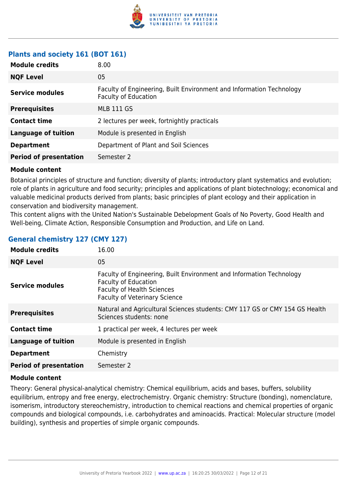

#### **Plants and society 161 (BOT 161)**

| <b>Module credits</b>         | 8.00                                                                                                |
|-------------------------------|-----------------------------------------------------------------------------------------------------|
| <b>NQF Level</b>              | 05                                                                                                  |
| <b>Service modules</b>        | Faculty of Engineering, Built Environment and Information Technology<br><b>Faculty of Education</b> |
| <b>Prerequisites</b>          | <b>MLB 111 GS</b>                                                                                   |
| <b>Contact time</b>           | 2 lectures per week, fortnightly practicals                                                         |
| <b>Language of tuition</b>    | Module is presented in English                                                                      |
| <b>Department</b>             | Department of Plant and Soil Sciences                                                               |
| <b>Period of presentation</b> | Semester 2                                                                                          |
|                               |                                                                                                     |

#### **Module content**

Botanical principles of structure and function; diversity of plants; introductory plant systematics and evolution; role of plants in agriculture and food security; principles and applications of plant biotechnology; economical and valuable medicinal products derived from plants; basic principles of plant ecology and their application in conservation and biodiversity management.

This content aligns with the United Nation's Sustainable Debelopment Goals of No Poverty, Good Health and Well-being, Climate Action, Responsible Consumption and Production, and Life on Land.

|  | <b>General chemistry 127 (CMY 127)</b> |  |  |  |
|--|----------------------------------------|--|--|--|
|--|----------------------------------------|--|--|--|

| <b>Module credits</b>         | 16.00                                                                                                                                                                            |
|-------------------------------|----------------------------------------------------------------------------------------------------------------------------------------------------------------------------------|
| <b>NQF Level</b>              | 05                                                                                                                                                                               |
| <b>Service modules</b>        | Faculty of Engineering, Built Environment and Information Technology<br><b>Faculty of Education</b><br><b>Faculty of Health Sciences</b><br><b>Faculty of Veterinary Science</b> |
| <b>Prerequisites</b>          | Natural and Agricultural Sciences students: CMY 117 GS or CMY 154 GS Health<br>Sciences students: none                                                                           |
| <b>Contact time</b>           | 1 practical per week, 4 lectures per week                                                                                                                                        |
| Language of tuition           | Module is presented in English                                                                                                                                                   |
| <b>Department</b>             | Chemistry                                                                                                                                                                        |
| <b>Period of presentation</b> | Semester 2                                                                                                                                                                       |

#### **Module content**

Theory: General physical-analytical chemistry: Chemical equilibrium, acids and bases, buffers, solubility equilibrium, entropy and free energy, electrochemistry. Organic chemistry: Structure (bonding), nomenclature, isomerism, introductory stereochemistry, introduction to chemical reactions and chemical properties of organic compounds and biological compounds, i.e. carbohydrates and aminoacids. Practical: Molecular structure (model building), synthesis and properties of simple organic compounds.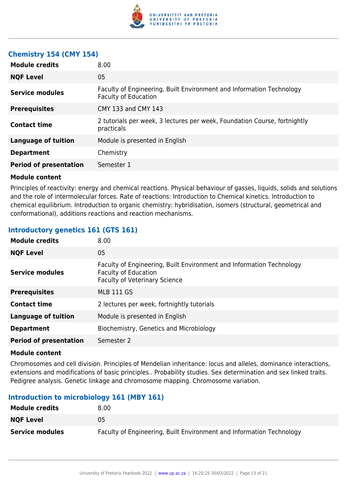

#### **Chemistry 154 (CMY 154)**

| 05<br><b>NQF Level</b><br>Faculty of Engineering, Built Environment and Information Technology<br>Service modules<br><b>Faculty of Education</b><br><b>Prerequisites</b><br>CMY 133 and CMY 143<br>2 tutorials per week, 3 lectures per week, Foundation Course, fortnightly<br><b>Contact time</b><br>practicals<br><b>Language of tuition</b><br>Module is presented in English<br>Chemistry<br><b>Department</b><br><b>Period of presentation</b><br>Semester 1 | <b>Module credits</b> | 8.00 |
|--------------------------------------------------------------------------------------------------------------------------------------------------------------------------------------------------------------------------------------------------------------------------------------------------------------------------------------------------------------------------------------------------------------------------------------------------------------------|-----------------------|------|
|                                                                                                                                                                                                                                                                                                                                                                                                                                                                    |                       |      |
|                                                                                                                                                                                                                                                                                                                                                                                                                                                                    |                       |      |
|                                                                                                                                                                                                                                                                                                                                                                                                                                                                    |                       |      |
|                                                                                                                                                                                                                                                                                                                                                                                                                                                                    |                       |      |
|                                                                                                                                                                                                                                                                                                                                                                                                                                                                    |                       |      |
|                                                                                                                                                                                                                                                                                                                                                                                                                                                                    |                       |      |
|                                                                                                                                                                                                                                                                                                                                                                                                                                                                    |                       |      |

#### **Module content**

Principles of reactivity: energy and chemical reactions. Physical behaviour of gasses, liquids, solids and solutions and the role of intermolecular forces. Rate of reactions: Introduction to Chemical kinetics. Introduction to chemical equilibrium. Introduction to organic chemistry: hybridisation, isomers (structural, geometrical and conformational), additions reactions and reaction mechanisms.

#### **Introductory genetics 161 (GTS 161)**

| <b>Module credits</b>         | 8.00                                                                                                                                        |
|-------------------------------|---------------------------------------------------------------------------------------------------------------------------------------------|
| <b>NQF Level</b>              | 05                                                                                                                                          |
| <b>Service modules</b>        | Faculty of Engineering, Built Environment and Information Technology<br><b>Faculty of Education</b><br><b>Faculty of Veterinary Science</b> |
| <b>Prerequisites</b>          | <b>MLB 111 GS</b>                                                                                                                           |
| <b>Contact time</b>           | 2 lectures per week, fortnightly tutorials                                                                                                  |
| <b>Language of tuition</b>    | Module is presented in English                                                                                                              |
| <b>Department</b>             | Biochemistry, Genetics and Microbiology                                                                                                     |
| <b>Period of presentation</b> | Semester 2                                                                                                                                  |

#### **Module content**

Chromosomes and cell division. Principles of Mendelian inheritance: locus and alleles, dominance interactions, extensions and modifications of basic principles.. Probability studies. Sex determination and sex linked traits. Pedigree analysis. Genetic linkage and chromosome mapping. Chromosome variation.

#### **Introduction to microbiology 161 (MBY 161)**

| <b>Module credits</b>  | 8.00                                                                 |
|------------------------|----------------------------------------------------------------------|
| <b>NOF Level</b>       | 05                                                                   |
| <b>Service modules</b> | Faculty of Engineering, Built Environment and Information Technology |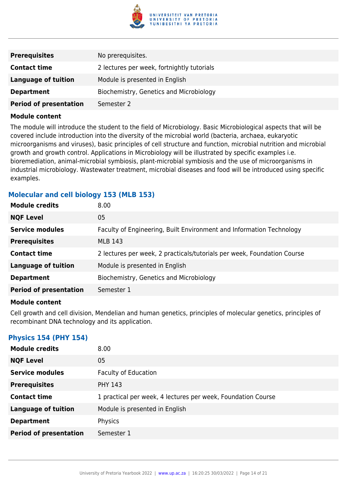

| <b>Prerequisites</b>          | No prerequisites.                          |
|-------------------------------|--------------------------------------------|
| <b>Contact time</b>           | 2 lectures per week, fortnightly tutorials |
| Language of tuition           | Module is presented in English             |
| <b>Department</b>             | Biochemistry, Genetics and Microbiology    |
| <b>Period of presentation</b> | Semester 2                                 |

The module will introduce the student to the field of Microbiology. Basic Microbiological aspects that will be covered include introduction into the diversity of the microbial world (bacteria, archaea, eukaryotic microorganisms and viruses), basic principles of cell structure and function, microbial nutrition and microbial growth and growth control. Applications in Microbiology will be illustrated by specific examples i.e. bioremediation, animal-microbial symbiosis, plant-microbial symbiosis and the use of microorganisms in industrial microbiology. Wastewater treatment, microbial diseases and food will be introduced using specific examples.

#### **Molecular and cell biology 153 (MLB 153)**

| <b>Module credits</b>         | 8.00                                                                    |
|-------------------------------|-------------------------------------------------------------------------|
| <b>NQF Level</b>              | 05                                                                      |
| <b>Service modules</b>        | Faculty of Engineering, Built Environment and Information Technology    |
| <b>Prerequisites</b>          | <b>MLB 143</b>                                                          |
| <b>Contact time</b>           | 2 lectures per week, 2 practicals/tutorials per week, Foundation Course |
| <b>Language of tuition</b>    | Module is presented in English                                          |
| <b>Department</b>             | Biochemistry, Genetics and Microbiology                                 |
| <b>Period of presentation</b> | Semester 1                                                              |
|                               |                                                                         |

#### **Module content**

Cell growth and cell division, Mendelian and human genetics, principles of molecular genetics, principles of recombinant DNA technology and its application.

#### **Physics 154 (PHY 154)**

| <b>Module credits</b>         | 8.00                                                         |
|-------------------------------|--------------------------------------------------------------|
| <b>NQF Level</b>              | 05                                                           |
| <b>Service modules</b>        | <b>Faculty of Education</b>                                  |
| <b>Prerequisites</b>          | <b>PHY 143</b>                                               |
| <b>Contact time</b>           | 1 practical per week, 4 lectures per week, Foundation Course |
| <b>Language of tuition</b>    | Module is presented in English                               |
| <b>Department</b>             | Physics                                                      |
| <b>Period of presentation</b> | Semester 1                                                   |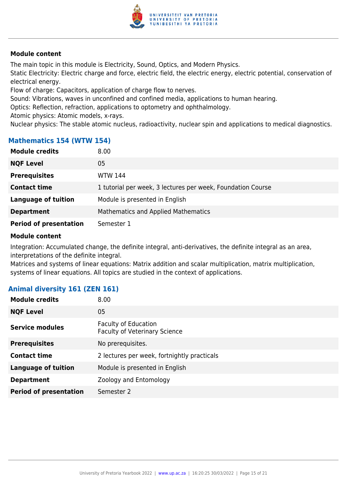

The main topic in this module is Electricity, Sound, Optics, and Modern Physics.

Static Electricity: Electric charge and force, electric field, the electric energy, electric potential, conservation of electrical energy.

Flow of charge: Capacitors, application of charge flow to nerves.

Sound: Vibrations, waves in unconfined and confined media, applications to human hearing.

Optics: Reflection, refraction, applications to optometry and ophthalmology.

Atomic physics: Atomic models, x-rays.

Nuclear physics: The stable atomic nucleus, radioactivity, nuclear spin and applications to medical diagnostics.

#### **Mathematics 154 (WTW 154)**

| <b>Module credits</b>         | 8.00                                                        |
|-------------------------------|-------------------------------------------------------------|
| <b>NQF Level</b>              | 05                                                          |
| <b>Prerequisites</b>          | <b>WTW 144</b>                                              |
| <b>Contact time</b>           | 1 tutorial per week, 3 lectures per week, Foundation Course |
| <b>Language of tuition</b>    | Module is presented in English                              |
| <b>Department</b>             | <b>Mathematics and Applied Mathematics</b>                  |
| <b>Period of presentation</b> | Semester 1                                                  |

#### **Module content**

Integration: Accumulated change, the definite integral, anti-derivatives, the definite integral as an area, interpretations of the definite integral.

Matrices and systems of linear equations: Matrix addition and scalar multiplication, matrix multiplication, systems of linear equations. All topics are studied in the context of applications.

#### **Animal diversity 161 (ZEN 161)**

| <b>Module credits</b>         | 8.00                                                                |
|-------------------------------|---------------------------------------------------------------------|
| <b>NQF Level</b>              | 05                                                                  |
| <b>Service modules</b>        | <b>Faculty of Education</b><br><b>Faculty of Veterinary Science</b> |
| <b>Prerequisites</b>          | No prerequisites.                                                   |
| <b>Contact time</b>           | 2 lectures per week, fortnightly practicals                         |
| <b>Language of tuition</b>    | Module is presented in English                                      |
| <b>Department</b>             | Zoology and Entomology                                              |
| <b>Period of presentation</b> | Semester 2                                                          |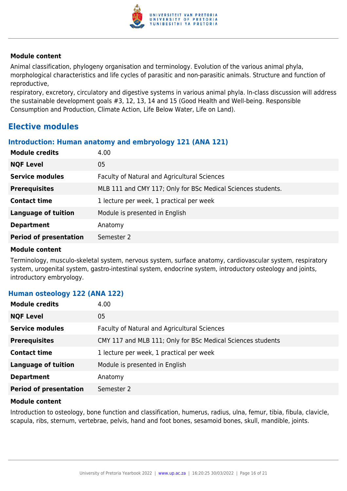

Animal classification, phylogeny organisation and terminology. Evolution of the various animal phyla, morphological characteristics and life cycles of parasitic and non-parasitic animals. Structure and function of reproductive,

respiratory, excretory, circulatory and digestive systems in various animal phyla. In-class discussion will address the sustainable development goals #3, 12, 13, 14 and 15 (Good Health and Well-being. Responsible Consumption and Production, Climate Action, Life Below Water, Life on Land).

#### **Elective modules**

#### **Introduction: Human anatomy and embryology 121 (ANA 121)**

| <b>Module credits</b>         | 4.00                                                         |
|-------------------------------|--------------------------------------------------------------|
| <b>NQF Level</b>              | 05                                                           |
| <b>Service modules</b>        | Faculty of Natural and Agricultural Sciences                 |
| <b>Prerequisites</b>          | MLB 111 and CMY 117; Only for BSc Medical Sciences students. |
| <b>Contact time</b>           | 1 lecture per week, 1 practical per week                     |
| <b>Language of tuition</b>    | Module is presented in English                               |
| <b>Department</b>             | Anatomy                                                      |
| <b>Period of presentation</b> | Semester 2                                                   |

#### **Module content**

Terminology, musculo-skeletal system, nervous system, surface anatomy, cardiovascular system, respiratory system, urogenital system, gastro-intestinal system, endocrine system, introductory osteology and joints, introductory embryology.

#### **Human osteology 122 (ANA 122)**

| 4.00                                                        |
|-------------------------------------------------------------|
| 05                                                          |
| Faculty of Natural and Agricultural Sciences                |
| CMY 117 and MLB 111; Only for BSc Medical Sciences students |
| 1 lecture per week, 1 practical per week                    |
| Module is presented in English                              |
| Anatomy                                                     |
| Semester 2                                                  |
|                                                             |

#### **Module content**

Introduction to osteology, bone function and classification, humerus, radius, ulna, femur, tibia, fibula, clavicle, scapula, ribs, sternum, vertebrae, pelvis, hand and foot bones, sesamoid bones, skull, mandible, joints.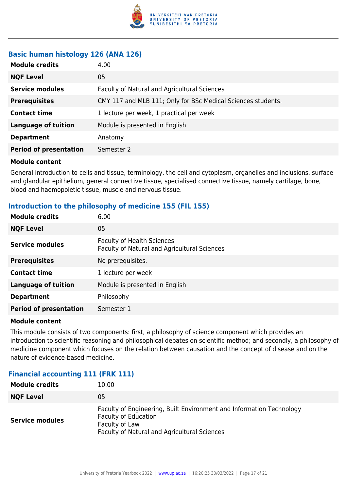

#### **Basic human histology 126 (ANA 126)**

| <b>Module credits</b>         | 4.00                                                         |
|-------------------------------|--------------------------------------------------------------|
| <b>NQF Level</b>              | 05                                                           |
| <b>Service modules</b>        | Faculty of Natural and Agricultural Sciences                 |
| <b>Prerequisites</b>          | CMY 117 and MLB 111; Only for BSc Medical Sciences students. |
| <b>Contact time</b>           | 1 lecture per week, 1 practical per week                     |
| <b>Language of tuition</b>    | Module is presented in English                               |
| <b>Department</b>             | Anatomy                                                      |
| <b>Period of presentation</b> | Semester 2                                                   |

#### **Module content**

General introduction to cells and tissue, terminology, the cell and cytoplasm, organelles and inclusions, surface and glandular epithelium, general connective tissue, specialised connective tissue, namely cartilage, bone, blood and haemopoietic tissue, muscle and nervous tissue.

#### **Introduction to the philosophy of medicine 155 (FIL 155)**

| <b>Module credits</b>         | 6.00                                                                              |
|-------------------------------|-----------------------------------------------------------------------------------|
| <b>NQF Level</b>              | 05                                                                                |
| <b>Service modules</b>        | <b>Faculty of Health Sciences</b><br>Faculty of Natural and Agricultural Sciences |
| <b>Prerequisites</b>          | No prerequisites.                                                                 |
| <b>Contact time</b>           | 1 lecture per week                                                                |
| <b>Language of tuition</b>    | Module is presented in English                                                    |
| <b>Department</b>             | Philosophy                                                                        |
| <b>Period of presentation</b> | Semester 1                                                                        |

#### **Module content**

This module consists of two components: first, a philosophy of science component which provides an introduction to scientific reasoning and philosophical debates on scientific method; and secondly, a philosophy of medicine component which focuses on the relation between causation and the concept of disease and on the nature of evidence-based medicine.

#### **Financial accounting 111 (FRK 111)**

| <b>Module credits</b>  | 10.00                                                                                                                                                                 |
|------------------------|-----------------------------------------------------------------------------------------------------------------------------------------------------------------------|
| <b>NQF Level</b>       | 05                                                                                                                                                                    |
| <b>Service modules</b> | Faculty of Engineering, Built Environment and Information Technology<br><b>Faculty of Education</b><br>Faculty of Law<br>Faculty of Natural and Agricultural Sciences |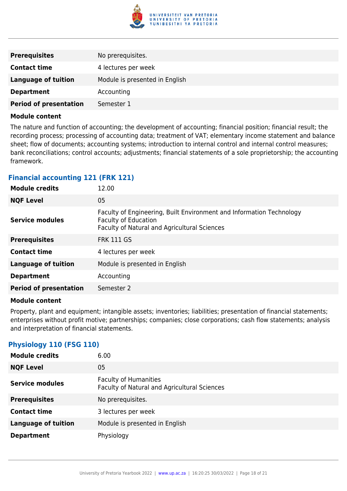

| <b>Prerequisites</b>          | No prerequisites.              |
|-------------------------------|--------------------------------|
| <b>Contact time</b>           | 4 lectures per week            |
| <b>Language of tuition</b>    | Module is presented in English |
| <b>Department</b>             | Accounting                     |
| <b>Period of presentation</b> | Semester 1                     |

The nature and function of accounting; the development of accounting; financial position; financial result; the recording process; processing of accounting data; treatment of VAT; elementary income statement and balance sheet; flow of documents; accounting systems; introduction to internal control and internal control measures; bank reconciliations; control accounts; adjustments; financial statements of a sole proprietorship; the accounting framework.

#### **Financial accounting 121 (FRK 121)**

| 12.00                                                                                                                                               |
|-----------------------------------------------------------------------------------------------------------------------------------------------------|
| 05                                                                                                                                                  |
| Faculty of Engineering, Built Environment and Information Technology<br><b>Faculty of Education</b><br>Faculty of Natural and Agricultural Sciences |
| <b>FRK 111 GS</b>                                                                                                                                   |
| 4 lectures per week                                                                                                                                 |
| Module is presented in English                                                                                                                      |
| Accounting                                                                                                                                          |
| Semester 2                                                                                                                                          |
|                                                                                                                                                     |

#### **Module content**

Property, plant and equipment; intangible assets; inventories; liabilities; presentation of financial statements; enterprises without profit motive; partnerships; companies; close corporations; cash flow statements; analysis and interpretation of financial statements.

#### **Physiology 110 (FSG 110)**

| <b>Module credits</b>      | 6.00                                                                         |
|----------------------------|------------------------------------------------------------------------------|
| <b>NQF Level</b>           | 05                                                                           |
| <b>Service modules</b>     | <b>Faculty of Humanities</b><br>Faculty of Natural and Agricultural Sciences |
| <b>Prerequisites</b>       | No prerequisites.                                                            |
| <b>Contact time</b>        | 3 lectures per week                                                          |
| <b>Language of tuition</b> | Module is presented in English                                               |
| <b>Department</b>          | Physiology                                                                   |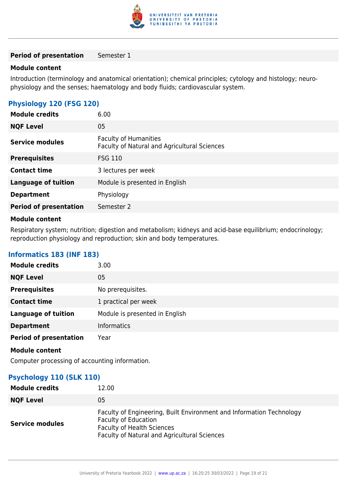

#### **Period of presentation** Semester 1

#### **Module content**

Introduction (terminology and anatomical orientation); chemical principles; cytology and histology; neurophysiology and the senses; haematology and body fluids; cardiovascular system.

#### **Physiology 120 (FSG 120)**

| <b>Module credits</b>         | 6.00                                                                         |
|-------------------------------|------------------------------------------------------------------------------|
| <b>NQF Level</b>              | 05                                                                           |
| <b>Service modules</b>        | <b>Faculty of Humanities</b><br>Faculty of Natural and Agricultural Sciences |
| <b>Prerequisites</b>          | <b>FSG 110</b>                                                               |
| <b>Contact time</b>           | 3 lectures per week                                                          |
| <b>Language of tuition</b>    | Module is presented in English                                               |
| <b>Department</b>             | Physiology                                                                   |
| <b>Period of presentation</b> | Semester 2                                                                   |

#### **Module content**

Respiratory system; nutrition; digestion and metabolism; kidneys and acid-base equilibrium; endocrinology; reproduction physiology and reproduction; skin and body temperatures.

#### **Informatics 183 (INF 183)**

| <b>Module credits</b>         | 3.00                           |
|-------------------------------|--------------------------------|
| <b>NQF Level</b>              | 05                             |
| <b>Prerequisites</b>          | No prerequisites.              |
| <b>Contact time</b>           | 1 practical per week           |
| <b>Language of tuition</b>    | Module is presented in English |
| <b>Department</b>             | <b>Informatics</b>             |
| <b>Period of presentation</b> | Year                           |

**Module content**

Computer processing of accounting information.

#### **Psychology 110 (SLK 110)**

| <b>Module credits</b>  | 12.00                                                                                                                                                                                           |
|------------------------|-------------------------------------------------------------------------------------------------------------------------------------------------------------------------------------------------|
| <b>NQF Level</b>       | 05                                                                                                                                                                                              |
| <b>Service modules</b> | Faculty of Engineering, Built Environment and Information Technology<br><b>Faculty of Education</b><br><b>Faculty of Health Sciences</b><br><b>Faculty of Natural and Agricultural Sciences</b> |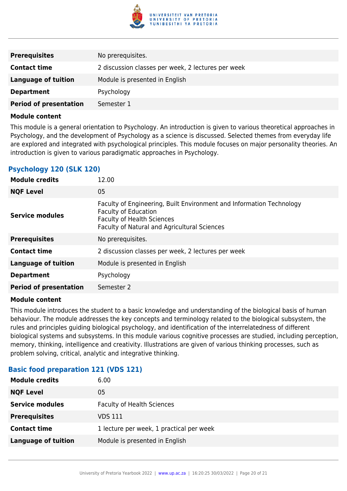

| <b>Prerequisites</b>          | No prerequisites.                                  |
|-------------------------------|----------------------------------------------------|
| <b>Contact time</b>           | 2 discussion classes per week, 2 lectures per week |
| Language of tuition           | Module is presented in English                     |
| <b>Department</b>             | Psychology                                         |
| <b>Period of presentation</b> | Semester 1                                         |

This module is a general orientation to Psychology. An introduction is given to various theoretical approaches in Psychology, and the development of Psychology as a science is discussed. Selected themes from everyday life are explored and integrated with psychological principles. This module focuses on major personality theories. An introduction is given to various paradigmatic approaches in Psychology.

#### **Psychology 120 (SLK 120)**

| <b>Module credits</b>         | 12.00                                                                                                                                                                                    |
|-------------------------------|------------------------------------------------------------------------------------------------------------------------------------------------------------------------------------------|
| <b>NQF Level</b>              | 05                                                                                                                                                                                       |
| <b>Service modules</b>        | Faculty of Engineering, Built Environment and Information Technology<br><b>Faculty of Education</b><br><b>Faculty of Health Sciences</b><br>Faculty of Natural and Agricultural Sciences |
| <b>Prerequisites</b>          | No prerequisites.                                                                                                                                                                        |
| <b>Contact time</b>           | 2 discussion classes per week, 2 lectures per week                                                                                                                                       |
| <b>Language of tuition</b>    | Module is presented in English                                                                                                                                                           |
| <b>Department</b>             | Psychology                                                                                                                                                                               |
| <b>Period of presentation</b> | Semester 2                                                                                                                                                                               |

#### **Module content**

This module introduces the student to a basic knowledge and understanding of the biological basis of human behaviour. The module addresses the key concepts and terminology related to the biological subsystem, the rules and principles guiding biological psychology, and identification of the interrelatedness of different biological systems and subsystems. In this module various cognitive processes are studied, including perception, memory, thinking, intelligence and creativity. Illustrations are given of various thinking processes, such as problem solving, critical, analytic and integrative thinking.

#### **Basic food preparation 121 (VDS 121)**

| <b>Module credits</b>      | 6.00                                     |
|----------------------------|------------------------------------------|
| <b>NQF Level</b>           | 05                                       |
| <b>Service modules</b>     | <b>Faculty of Health Sciences</b>        |
| <b>Prerequisites</b>       | VDS 111                                  |
| <b>Contact time</b>        | 1 lecture per week, 1 practical per week |
| <b>Language of tuition</b> | Module is presented in English           |